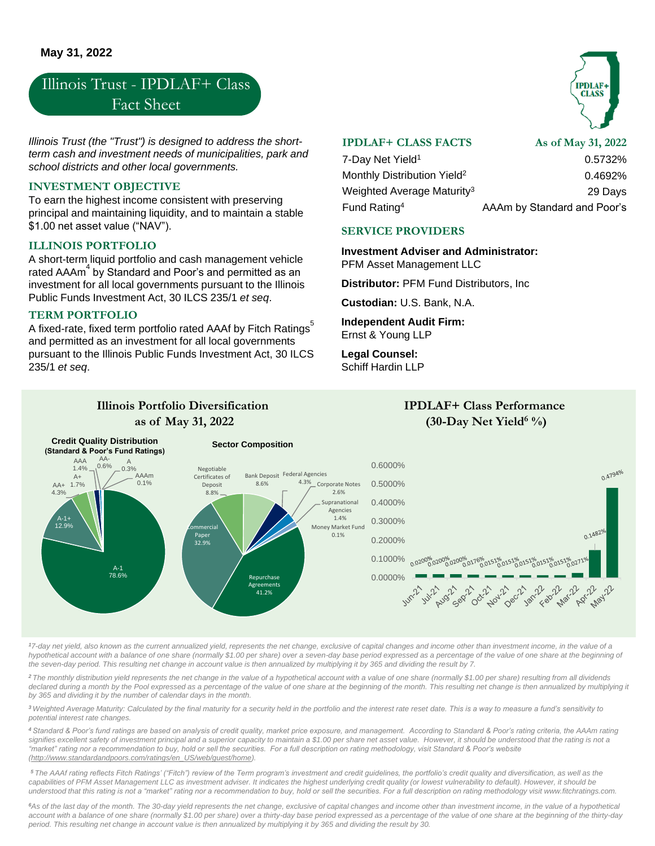# Illinois Trust - IPDLAF+ Class Fact Sheet

*Illinois Trust (the "Trust") is designed to address the shortterm cash and investment needs of municipalities, park and school districts and other local governments.*

#### **INVESTMENT OBJECTIVE**

To earn the highest income consistent with preserving principal and maintaining liquidity, and to maintain a stable \$1.00 net asset value ("NAV").

### **ILLINOIS PORTFOLIO**

A short-term liquid portfolio and cash management vehicle rated AAAm $^4$  by Standard and Poor's and permitted as an investment for all local governments pursuant to the Illinois Public Funds Investment Act, 30 ILCS 235/1 *et seq*.

#### **TERM PORTFOLIO**

A fixed-rate, fixed term portfolio rated AAAf by Fitch Ratings<sup>5</sup> and permitted as an investment for all local governments pursuant to the Illinois Public Funds Investment Act, 30 ILCS 235/1 *et seq*.

**Illinois Portfolio Diversification** 

## **IPDLAF+ CLASS FACTS**

**As of May 31, 2022**

**CLASS** 

| 7-Day Net Yield <sup>1</sup>            | 0.5732%                     |
|-----------------------------------------|-----------------------------|
| Monthly Distribution Yield <sup>2</sup> | 0.4692%                     |
| Weighted Average Maturity <sup>3</sup>  | 29 Days                     |
| Fund Rating <sup>4</sup>                | AAAm by Standard and Poor's |

**IPDLAF+ Class Performance** 

#### **SERVICE PROVIDERS**

**Investment Adviser and Administrator:** 

PFM Asset Management LLC

**Distributor:** PFM Fund Distributors, Inc

**Custodian:** U.S. Bank, N.A.

**Independent Audit Firm:** Ernst & Young LLP

**Legal Counsel:** Schiff Hardin LLP



*<sup>1</sup>7-day net yield, also known as the current annualized yield, represents the net change, exclusive of capital changes and income other than investment income, in the value of a hypothetical account with a balance of one share (normally \$1.00 per share) over a seven-day base period expressed as a percentage of the value of one share at the beginning of the seven-day period. This resulting net change in account value is then annualized by multiplying it by 365 and dividing the result by 7.*

*<sup>2</sup>The monthly distribution yield represents the net change in the value of a hypothetical account with a value of one share (normally \$1.00 per share) resulting from all dividends*  declared during a month by the Pool expressed as a percentage of the value of one share at the beginning of the month. This resulting net change is then annualized by multiplying it *by 365 and dividing it by the number of calendar days in the month.* 

<sup>3</sup> Weighted Average Maturity: Calculated by the final maturity for a security held in the portfolio and the interest rate reset date. This is a way to measure a fund's sensitivity to *potential interest rate changes.* 

*<sup>4</sup> Standard & Poor's fund ratings are based on analysis of credit quality, market price exposure, and management. According to Standard & Poor's rating criteria, the AAAm rating signifies excellent safety of investment principal and a superior capacity to maintain a \$1.00 per share net asset value. However, it should be understood that the rating is not a "market" rating nor a recommendation to buy, hold or sell the securities. For a full description on rating methodology, visit Standard & Poor's website (http://www.standardandpoors.com/ratings/en\_US/web/guest/home).*

*<sup>5</sup> The AAAf rating reflects Fitch Ratings' ("Fitch") review of the Term program's investment and credit guidelines, the portfolio's credit quality and diversification, as well as the capabilities of PFM Asset Management LLC as investment adviser. It indicates the highest underlying credit quality (or lowest vulnerability to default). However, it should be understood that this rating is not a "market" rating nor a recommendation to buy, hold or sell the securities. For a full description on rating methodology visit www.fitchratings.com.*

*<sup>6</sup>As of the last day of the month. The 30-day yield represents the net change, exclusive of capital changes and income other than investment income, in the value of a hypothetical*  account with a balance of one share (normally \$1.00 per share) over a thirty-day base period expressed as a percentage of the value of one share at the beginning of the thirty-day *period. This resulting net change in account value is then annualized by multiplying it by 365 and dividing the result by 30.*